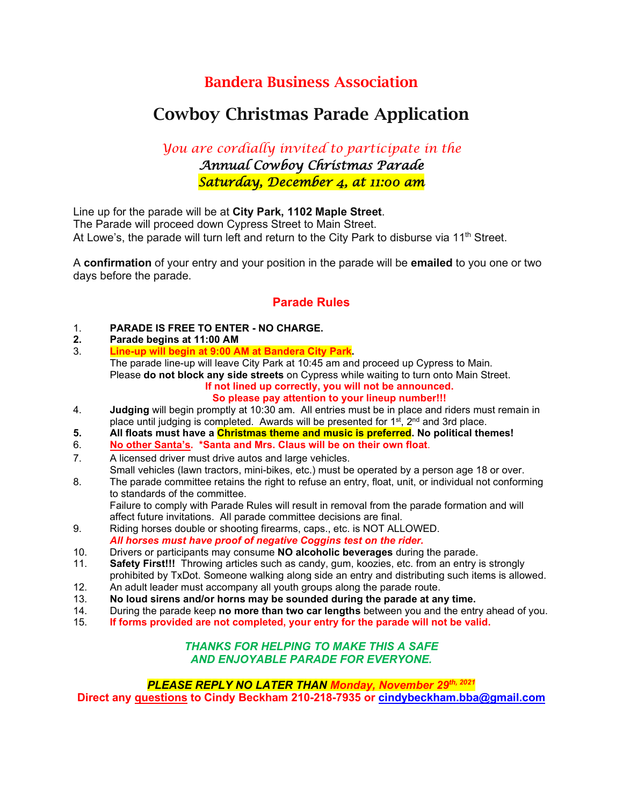## Bandera Business Association

# Cowboy Christmas Parade Application

*You are cordially invited to participate in the Annual Cowboy Christmas Parade Saturday, December 4, at 11:00 am* 

Line up for the parade will be at **City Park, 1102 Maple Street**. The Parade will proceed down Cypress Street to Main Street. At Lowe's, the parade will turn left and return to the City Park to disburse via  $11<sup>th</sup>$  Street.

A **confirmation** of your entry and your position in the parade will be **emailed** to you one or two days before the parade.

### **Parade Rules**

- 1. **PARADE IS FREE TO ENTER - NO CHARGE.**
- **2. Parade begins at 11:00 AM**
- 3. **Line-up will begin at 9:00 AM at Bandera City Park.**  The parade line-up will leave City Park at 10:45 am and proceed up Cypress to Main. Please **do not block any side streets** on Cypress while waiting to turn onto Main Street. **If not lined up correctly, you will not be announced.**
	- **So please pay attention to your lineup number!!!**
- 4. **Judging** will begin promptly at 10:30 am. All entries must be in place and riders must remain in place until judging is completed. Awards will be presented for  $1<sup>st</sup>$ ,  $2<sup>nd</sup>$  and 3rd place.
- **5. All floats must have a Christmas theme and music is preferred. No political themes!**
- 6. **No other Santa's. \*Santa and Mrs. Claus will be on their own float**.
- 7. A licensed driver must drive autos and large vehicles.
- Small vehicles (lawn tractors, mini-bikes, etc.) must be operated by a person age 18 or over.
- 8. The parade committee retains the right to refuse an entry, float, unit, or individual not conforming to standards of the committee. Failure to comply with Parade Rules will result in removal from the parade formation and will
	- affect future invitations. All parade committee decisions are final.
- 9. Riding horses double or shooting firearms, caps., etc. is NOT ALLOWED. *All horses must have proof of negative Coggins test on the rider.*
- 10. Drivers or participants may consume **NO alcoholic beverages** during the parade.
- **Safety First!!!** Throwing articles such as candy, gum, koozies, etc. from an entry is strongly prohibited by TxDot. Someone walking along side an entry and distributing such items is allowed.
- 12. An adult leader must accompany all youth groups along the parade route.<br>13. No loud sirens and/or horns may be sounded during the parade at an
- 13. **No loud sirens and/or horns may be sounded during the parade at any time.**
- 14. During the parade keep **no more than two car lengths** between you and the entry ahead of you.<br>15. **If forms provided are not completed, your entry for the parade will not be valid.**
- 15. **If forms provided are not completed, your entry for the parade will not be valid.**

#### *THANKS FOR HELPING TO MAKE THIS A SAFE AND ENJOYABLE PARADE FOR EVERYONE.*

*PLEASE REPLY NO LATER THAN Monday, November 29th, 2021* **Direct any questions to Cindy Beckham 210-218-7935 or [cindybeckham.bba@gmail.com](mailto:cindybeckham.bba@gmail.com)**